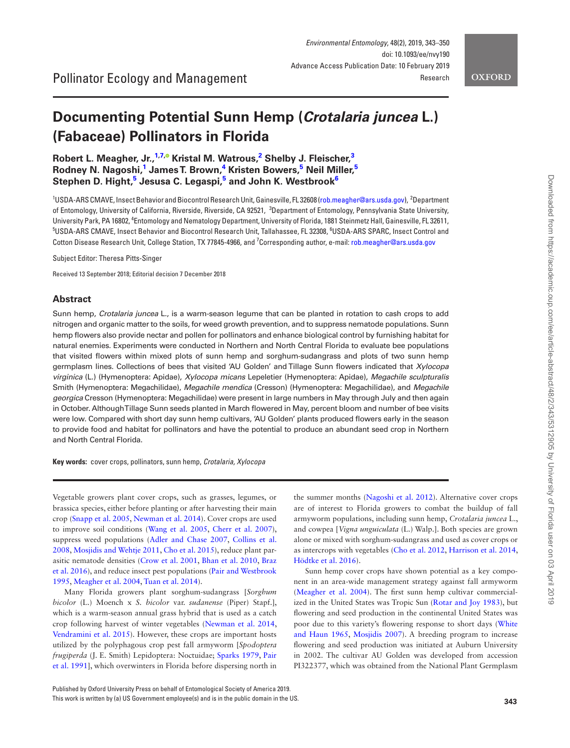<span id="page-0-2"></span>Downloaded from https://academic.oup.com/ee/article-abstract/48/2/343/5312905 by University of Florida user on 03 April 2019

Downloaded from https://academic.oup.com/ee/article-abstract/48/2/343/5312905 by University of Florida user on 03 April 2019

*Environmental Entomology*, 48(2), 2019, 343–350 doi: 10.1093/ee/nvy190 Advance Access Publication Date: 10 February 2019 Research

## **OXFORD**

# **Documenting Potential Sunn Hemp (***Crotalaria juncea* **L.) (Fabaceae) Pollinators in Florida**

# **Robert L. Meagher, Jr.,[1](#page-0-0)[,7](#page-0-1)[,](http://orcid.org/0000-0003-2769-1043) Kristal M. Watrous[,2](#page-0-2) Shelby J. Fleischer,[3](#page-0-3)**   $R$ odney N. Nagoshi,<sup>1</sup> James T. Brown,<sup>4</sup> Kristen Bowers,<sup>5</sup> Neil Miller,<sup>5</sup> **Stephen D. Hight[,5](#page-0-5) Jesusa C. Legaspi,[5](#page-0-5) and John K. Westbrook[6](#page-0-6)**

<span id="page-0-4"></span><span id="page-0-3"></span><span id="page-0-0"></span><sup>1</sup>USDA-ARS CMAVE, Insect Behavior and Biocontrol Research Unit, Gainesville, FL 32608 ([rob.meagher@ars.usda.gov\)](mailto:rob.meagher@ars.usda.gov?subject=), <sup>2</sup>Department of Entomology, University of California, Riverside, Riverside, CA 92521, <sup>3</sup>Department of Entomology, Pennsylvania State University, University Park, PA 16802, <sup>4</sup>Entomology and Nematology Department, University of Florida, 1881 Steinmetz Hall, Gainesville, FL 32611,<br><sup>5</sup>USDA-ARS CMAVE, Jesect Behavier and Biocontrol Besearch Unit, Tallahassee, EL 33308, USDA-ARS CMAVE, Insect Behavior and Biocontrol Research Unit, Tallahassee, FL 32308, <sup>6</sup> USDA-ARS SPARC, Insect Control and Cotton Disease Research Unit, College Station, TX 77845-4966, and <sup>7</sup>Corresponding author, e-mail: [rob.meagher@ars.usda.gov](mailto:rob.meagher@ars.usda.gov?subject=)

<span id="page-0-6"></span><span id="page-0-5"></span><span id="page-0-1"></span>Subject Editor: Theresa Pitts-Singer

Received 13 September 2018; Editorial decision 7 December 2018

# **Abstract**

Sunn hemp, *Crotalaria juncea* L., is a warm-season legume that can be planted in rotation to cash crops to add nitrogen and organic matter to the soils, for weed growth prevention, and to suppress nematode populations. Sunn hemp flowers also provide nectar and pollen for pollinators and enhance biological control by furnishing habitat for natural enemies. Experiments were conducted in Northern and North Central Florida to evaluate bee populations that visited flowers within mixed plots of sunn hemp and sorghum-sudangrass and plots of two sunn hemp germplasm lines. Collections of bees that visited 'AU Golden' and Tillage Sunn flowers indicated that *Xylocopa virginica* (L.) (Hymenoptera: Apidae), *Xylocopa micans* Lepeletier (Hymenoptera: Apidae), *Megachile sculpturalis* Smith (Hymenoptera: Megachilidae), *Megachile mendica* (Cresson) (Hymenoptera: Megachilidae), and *Megachile georgica* Cresson (Hymenoptera: Megachilidae) were present in large numbers in May through July and then again in October. Although Tillage Sunn seeds planted in March flowered in May, percent bloom and number of bee visits were low. Compared with short day sunn hemp cultivars, 'AU Golden' plants produced flowers early in the season to provide food and habitat for pollinators and have the potential to produce an abundant seed crop in Northern and North Central Florida.

**Key words:** cover crops, pollinators, sunn hemp, *Crotalaria, Xylocopa*

Vegetable growers plant cover crops, such as grasses, legumes, or brassica species, either before planting or after harvesting their main crop [\(Snapp et al. 2005,](#page-7-0) [Newman et al. 2014\)](#page-6-0). Cover crops are used to improve soil conditions ([Wang et al. 2005,](#page-7-1) [Cherr et al. 2007](#page-6-1)), suppress weed populations [\(Adler and Chase 2007,](#page-5-0) [Collins et al.](#page-6-2) [2008,](#page-6-2) [Mosjidis and Wehtje 2011](#page-6-3), [Cho et al. 2015](#page-6-4)), reduce plant parasitic nematode densities ([Crow et al. 2001](#page-6-5), [Bhan et al. 2010,](#page-5-1) [Braz](#page-5-2) [et al. 2016](#page-5-2)), and reduce insect pest populations ([Pair and Westbrook](#page-6-6) [1995,](#page-6-6) [Meagher et al. 2004](#page-6-7), [Tuan et al. 2014\)](#page-7-2).

Many Florida growers plant sorghum-sudangrass [*Sorghum bicolor* (L.) Moench x *S. bicolor* var. *sudanense* (Piper) Stapf.], which is a warm-season annual grass hybrid that is used as a catch crop following harvest of winter vegetables [\(Newman et al. 2014](#page-6-0), [Vendramini et al. 2015\)](#page-7-3). However, these crops are important hosts utilized by the polyphagous crop pest fall armyworm [*Spodoptera frugiperda* (J. E. Smith) Lepidoptera: Noctuidae; [Sparks 1979,](#page-7-4) [Pair](#page-6-8) [et al. 1991\]](#page-6-8), which overwinters in Florida before dispersing north in

the summer months [\(Nagoshi et al. 2012](#page-6-9)). Alternative cover crops are of interest to Florida growers to combat the buildup of fall armyworm populations, including sunn hemp, *Crotalaria juncea* L., and cowpea [*Vigna unguiculata* (L.) Walp.]. Both species are grown alone or mixed with sorghum-sudangrass and used as cover crops or as intercrops with vegetables [\(Cho et al. 2012,](#page-6-10) [Harrison et al. 2014](#page-6-11), [Hödtke et al. 2016](#page-6-12)).

Sunn hemp cover crops have shown potential as a key component in an area-wide management strategy against fall armyworm ([Meagher et al. 2004\)](#page-6-7). The first sunn hemp cultivar commercialized in the United States was Tropic Sun ([Rotar and Joy 1983](#page-6-13)), but flowering and seed production in the continental United States was poor due to this variety's flowering response to short days [\(White](#page-7-5) [and Haun 1965,](#page-7-5) [Mosjidis 2007](#page-6-14)). A breeding program to increase flowering and seed production was initiated at Auburn University in 2002. The cultivar AU Golden was developed from accession PI322377, which was obtained from the National Plant Germplasm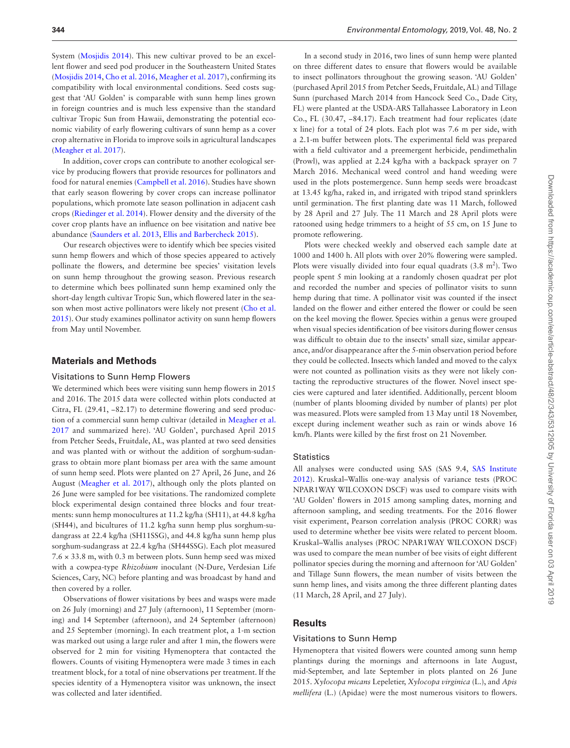System [\(Mosjidis 2014\)](#page-6-15). This new cultivar proved to be an excellent flower and seed pod producer in the Southeastern United States ([Mosjidis 2014](#page-6-15), [Cho et al. 2016](#page-6-16), [Meagher et al. 2017\)](#page-6-17), confirming its compatibility with local environmental conditions. Seed costs suggest that 'AU Golden' is comparable with sunn hemp lines grown in foreign countries and is much less expensive than the standard cultivar Tropic Sun from Hawaii, demonstrating the potential economic viability of early flowering cultivars of sunn hemp as a cover crop alternative in Florida to improve soils in agricultural landscapes ([Meagher et al. 2017](#page-6-17)).

In addition, cover crops can contribute to another ecological service by producing flowers that provide resources for pollinators and food for natural enemies [\(Campbell et al. 2016](#page-6-18)). Studies have shown that early season flowering by cover crops can increase pollinator populations, which promote late season pollination in adjacent cash crops ([Riedinger et al. 2014\)](#page-6-19). Flower density and the diversity of the cover crop plants have an influence on bee visitation and native bee abundance [\(Saunders et al. 2013](#page-7-6), [Ellis and Barbercheck 2015](#page-6-20)).

Our research objectives were to identify which bee species visited sunn hemp flowers and which of those species appeared to actively pollinate the flowers, and determine bee species' visitation levels on sunn hemp throughout the growing season. Previous research to determine which bees pollinated sunn hemp examined only the short-day length cultivar Tropic Sun, which flowered later in the season when most active pollinators were likely not present [\(Cho et al.](#page-6-4) [2015\)](#page-6-4). Our study examines pollinator activity on sunn hemp flowers from May until November.

#### **Materials and Methods**

#### Visitations to Sunn Hemp Flowers

We determined which bees were visiting sunn hemp flowers in 2015 and 2016. The 2015 data were collected within plots conducted at Citra, FL (29.41, −82.17) to determine flowering and seed production of a commercial sunn hemp cultivar (detailed in [Meagher et al.](#page-6-17) [2017](#page-6-17) and summarized here). 'AU Golden', purchased April 2015 from Petcher Seeds, Fruitdale, AL, was planted at two seed densities and was planted with or without the addition of sorghum-sudangrass to obtain more plant biomass per area with the same amount of sunn hemp seed. Plots were planted on 27 April, 26 June, and 26 August [\(Meagher et al. 2017\)](#page-6-17), although only the plots planted on 26 June were sampled for bee visitations. The randomized complete block experimental design contained three blocks and four treatments: sunn hemp monocultures at 11.2 kg/ha (SH11), at 44.8 kg/ha (SH44), and bicultures of 11.2 kg/ha sunn hemp plus sorghum-sudangrass at 22.4 kg/ha (SH11SSG), and 44.8 kg/ha sunn hemp plus sorghum-sudangrass at 22.4 kg/ha (SH44SSG). Each plot measured 7.6 × 33.8 m, with 0.3 m between plots. Sunn hemp seed was mixed with a cowpea-type *Rhizobium* inoculant (N-Dure, Verdesian Life Sciences, Cary, NC) before planting and was broadcast by hand and then covered by a roller.

Observations of flower visitations by bees and wasps were made on 26 July (morning) and 27 July (afternoon), 11 September (morning) and 14 September (afternoon), and 24 September (afternoon) and 25 September (morning). In each treatment plot, a 1-m section was marked out using a large ruler and after 1 min, the flowers were observed for 2 min for visiting Hymenoptera that contacted the flowers. Counts of visiting Hymenoptera were made 3 times in each treatment block, for a total of nine observations per treatment. If the species identity of a Hymenoptera visitor was unknown, the insect was collected and later identified.

In a second study in 2016, two lines of sunn hemp were planted on three different dates to ensure that flowers would be available to insect pollinators throughout the growing season. 'AU Golden' (purchased April 2015 from Petcher Seeds, Fruitdale, AL) and Tillage Sunn (purchased March 2014 from Hancock Seed Co., Dade City, FL) were planted at the USDA-ARS Tallahassee Laboratory in Leon Co., FL (30.47, −84.17). Each treatment had four replicates (date x line) for a total of 24 plots. Each plot was 7.6 m per side, with a 2.1-m buffer between plots. The experimental field was prepared with a field cultivator and a preemergent herbicide, pendimethalin (Prowl), was applied at 2.24 kg/ha with a backpack sprayer on 7 March 2016. Mechanical weed control and hand weeding were used in the plots postemergence. Sunn hemp seeds were broadcast at 13.45 kg/ha, raked in, and irrigated with tripod stand sprinklers until germination. The first planting date was 11 March, followed by 28 April and 27 July. The 11 March and 28 April plots were ratooned using hedge trimmers to a height of 55 cm, on 15 June to promote reflowering.

Plots were checked weekly and observed each sample date at 1000 and 1400 h. All plots with over 20% flowering were sampled. Plots were visually divided into four equal quadrats  $(3.8 \text{ m}^2)$ . Two people spent 5 min looking at a randomly chosen quadrat per plot and recorded the number and species of pollinator visits to sunn hemp during that time. A pollinator visit was counted if the insect landed on the flower and either entered the flower or could be seen on the keel moving the flower. Species within a genus were grouped when visual species identification of bee visitors during flower census was difficult to obtain due to the insects' small size, similar appearance, and/or disappearance after the 5-min observation period before they could be collected. Insects which landed and moved to the calyx were not counted as pollination visits as they were not likely contacting the reproductive structures of the flower. Novel insect species were captured and later identified. Additionally, percent bloom (number of plants blooming divided by number of plants) per plot was measured. Plots were sampled from 13 May until 18 November, except during inclement weather such as rain or winds above 16 km/h. Plants were killed by the first frost on 21 November.

#### **Statistics**

All analyses were conducted using SAS (SAS 9.4, [SAS Institute](#page-6-21) [2012\)](#page-6-21). Kruskal–Wallis one-way analysis of variance tests (PROC NPAR1WAY WILCOXON DSCF) was used to compare visits with 'AU Golden' flowers in 2015 among sampling dates, morning and afternoon sampling, and seeding treatments. For the 2016 flower visit experiment, Pearson correlation analysis (PROC CORR) was used to determine whether bee visits were related to percent bloom. Kruskal–Wallis analyses (PROC NPAR1WAY WILCOXON DSCF) was used to compare the mean number of bee visits of eight different pollinator species during the morning and afternoon for 'AU Golden' and Tillage Sunn flowers, the mean number of visits between the sunn hemp lines, and visits among the three different planting dates (11 March, 28 April, and 27 July).

#### **Results**

## Visitations to Sunn Hemp

Hymenoptera that visited flowers were counted among sunn hemp plantings during the mornings and afternoons in late August, mid-September, and late September in plots planted on 26 June 2015. *Xylocopa micans* Lepeletier, *Xylocopa virginica* (L.), and *Apis mellifera* (L.) (Apidae) were the most numerous visitors to flowers.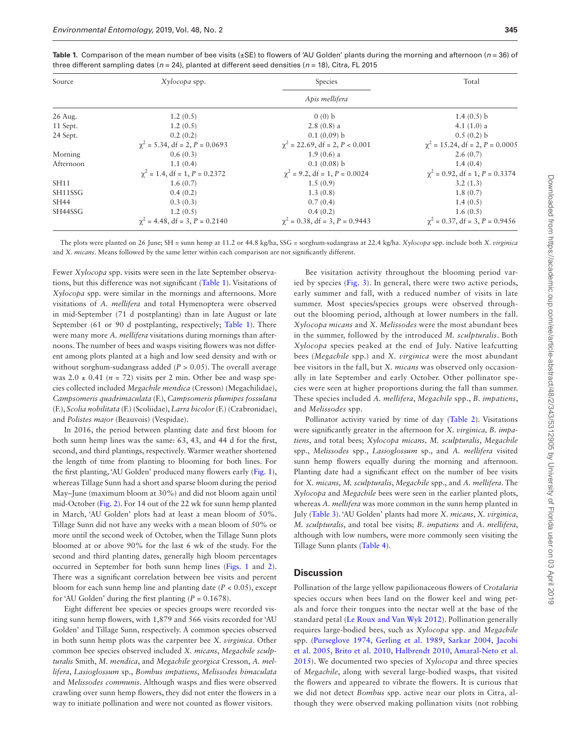| Source    | Xylocopa spp.                         | Species                               | Total                                 |  |  |  |  |
|-----------|---------------------------------------|---------------------------------------|---------------------------------------|--|--|--|--|
|           | Apis mellifera                        |                                       |                                       |  |  |  |  |
| 26 Aug.   | 1.2(0.5)                              | 0(0) b                                | 1.4 $(0.5)$ b                         |  |  |  |  |
| 11 Sept.  | 1.2(0.5)                              | $2.8(0.8)$ a                          | 4.1 $(1.0)$ a                         |  |  |  |  |
| 24 Sept.  | 0.2(0.2)                              | 0.1(0.09) b                           | $0.5(0.2)$ b                          |  |  |  |  |
|           | $\chi^2$ = 5.34, df = 2, P = 0.0693   | $\chi^2$ = 22.69, df = 2, P < 0.001   | $\chi^2$ = 15.24, df = 2, P = 0.0005  |  |  |  |  |
| Morning   | 0.6(0.3)                              | $1.9(0.6)$ a                          | 2.6(0.7)                              |  |  |  |  |
| Afternoon | 1.1(0.4)                              | $0.1(0.08)$ b                         | 1.4(0.4)                              |  |  |  |  |
|           | $\chi^2$ = 1.4, df = 1, P = 0.2372    | $\chi^2$ = 9.2, df = 1, P = 0.0024    | $\chi^2$ = 0.92, df = 1, P = 0.3374   |  |  |  |  |
| SH11      | 1.6(0.7)                              | 1.5(0.9)                              | 3.2(1.3)                              |  |  |  |  |
| SH11SSG   | 0.4(0.2)                              | 1.3(0.8)                              | 1.8(0.7)                              |  |  |  |  |
| SH44      | 0.3(0.3)                              | 0.7(0.4)                              | 1.4(0.5)                              |  |  |  |  |
| SH44SSG   | 1.2(0.5)                              | 0.4(0.2)                              | 1.6(0.5)                              |  |  |  |  |
|           | $\gamma^2$ = 4.48, df = 3, P = 0.2140 | $\gamma^2$ = 0.38, df = 3, P = 0.9443 | $\gamma^2$ = 0.37, df = 3, P = 0.9456 |  |  |  |  |

<span id="page-2-0"></span>**Table 1.** Comparison of the mean number of bee visits (±SE) to flowers of 'AU Golden' plants during the morning and afternoon (*n* = 36) of three different sampling dates (*n* = 24), planted at different seed densities (*n* = 18), Citra, FL 2015

The plots were planted on 26 June; SH = sunn hemp at 11.2 or 44.8 kg/ha, SSG = sorghum-sudangrass at 22.4 kg/ha. *Xylocopa* spp. include both *X*. *virginica* and *X. micans*. Means followed by the same letter within each comparison are not significantly different.

Fewer *Xylocopa* spp. visits were seen in the late September observations, but this difference was not significant ([Table 1](#page-2-0)). Visitations of *Xylocopa* spp. were similar in the mornings and afternoons. More visitations of *A. mellifera* and total Hymenoptera were observed in mid-September (71 d postplanting) than in late August or late September (61 or 90 d postplanting, respectively; [Table 1](#page-2-0)). There were many more *A. mellifera* visitations during mornings than afternoons. The number of bees and wasps visiting flowers was not different among plots planted at a high and low seed density and with or without sorghum-sudangrass added (*P* > 0.05). The overall average was  $2.0 \pm 0.41$  ( $n = 72$ ) visits per 2 min. Other bee and wasp species collected included *Megachile mendica* (Cresson) (Megachilidae), *Campsomeris quadrimaculata* (F.), *Campsomeris plumipes fossulana* (F.), *Scolia nobilitata* (F.) (Scoliidae), *Larra bicolor* (F.) (Crabronidae), and *Polistes major* (Beauvois) (Vespidae).

In 2016, the period between planting date and first bloom for both sunn hemp lines was the same: 63, 43, and 44 d for the first, second, and third plantings, respectively. Warmer weather shortened the length of time from planting to blooming for both lines. For the first planting, 'AU Golden' produced many flowers early ([Fig. 1](#page-3-0)), whereas Tillage Sunn had a short and sparse bloom during the period May–June (maximum bloom at 30%) and did not bloom again until mid-October ([Fig. 2](#page-3-1)). For 14 out of the 22 wk for sunn hemp planted in March, 'AU Golden' plots had at least a mean bloom of 50%. Tillage Sunn did not have any weeks with a mean bloom of 50% or more until the second week of October, when the Tillage Sunn plots bloomed at or above 90% for the last 6 wk of the study. For the second and third planting dates, generally high bloom percentages occurred in September for both sunn hemp lines [\(Figs. 1](#page-3-0) and [2](#page-3-1)). There was a significant correlation between bee visits and percent bloom for each sunn hemp line and planting date (*P* < 0.05), except for 'AU Golden' during the first planting  $(P = 0.1678)$ .

Eight different bee species or species groups were recorded visiting sunn hemp flowers, with 1,879 and 566 visits recorded for 'AU Golden' and Tillage Sunn, respectively. A common species observed in both sunn hemp plots was the carpenter bee *X. virginica*. Other common bee species observed included *X. micans*, *Megachile sculpturalis* Smith, *M. mendica*, and *Megachile georgica* Cresson, *A. mellifera*, *Lasioglossum* sp., *Bombus impatiens*, *Melissodes bimaculata* and *Melissodes communis*. Although wasps and flies were observed crawling over sunn hemp flowers, they did not enter the flowers in a way to initiate pollination and were not counted as flower visitors.

Bee visitation activity throughout the blooming period varied by species [\(Fig. 3](#page-4-0)). In general, there were two active periods, early summer and fall, with a reduced number of visits in late summer. Most species/species groups were observed throughout the blooming period, although at lower numbers in the fall. *Xylocopa micans* and *X. Melissodes* were the most abundant bees in the summer, followed by the introduced *M. sculpturalis*. Both *Xylocopa* species peaked at the end of July. Native leafcutting bees (*Megachile* spp.) and *X. virginica* were the most abundant bee visitors in the fall, but *X. micans* was observed only occasionally in late September and early October. Other pollinator species were seen at higher proportions during the fall than summer. These species included *A. mellifera*, *Megachile* spp., *B. impatiens*, and *Melissodes* spp.

Pollinator activity varied by time of day ([Table 2\)](#page-4-1). Visitations were significantly greater in the afternoon for *X. virginica, B. impatiens*, and total bees; *Xylocopa micans, M. sculpturalis*, *Megachile* spp., *Melissodes* spp., *Lasioglossum* sp., and *A. mellifera* visited sunn hemp flowers equally during the morning and afternoon. Planting date had a significant effect on the number of bee visits for *X. micans, M. sculpturalis*, *Megachile* spp., and *A. mellifera*. The *Xylocopa* and *Megachile* bees were seen in the earlier planted plots, whereas *A. mellifera* was more common in the sunn hemp planted in July ([Table 3](#page-4-2)). 'AU Golden' plants had more *X. micans*, *X. virginica*, *M. sculpturalis*, and total bee visits; *B. impatiens* and *A. mellifera*, although with low numbers, were more commonly seen visiting the Tillage Sunn plants ([Table 4](#page-5-3)).

### **Discussion**

Pollination of the large yellow papilionaceous flowers of *Crotalaria* species occurs when bees land on the flower keel and wing petals and force their tongues into the nectar well at the base of the standard petal [\(Le Roux and Van Wyk 2012\)](#page-6-22). Pollination generally requires large-bodied bees, such as *Xylocopa* spp. and *Megachile* spp. ([Purseglove 1974](#page-6-23), [Gerling et al. 1989,](#page-6-24) [Sarkar 2004](#page-6-25), [Jacobi](#page-6-26) [et al. 2005](#page-6-26), [Brito et al. 2010](#page-6-27), [Halbrendt 2010](#page-6-28), [Amaral-Neto et al.](#page-5-4) [2015](#page-5-4)). We documented two species of *Xylocopa* and three species of *Megachile*, along with several large-bodied wasps, that visited the flowers and appeared to vibrate the flowers. It is curious that we did not detect *Bombus* spp. active near our plots in Citra, although they were observed making pollination visits (not robbing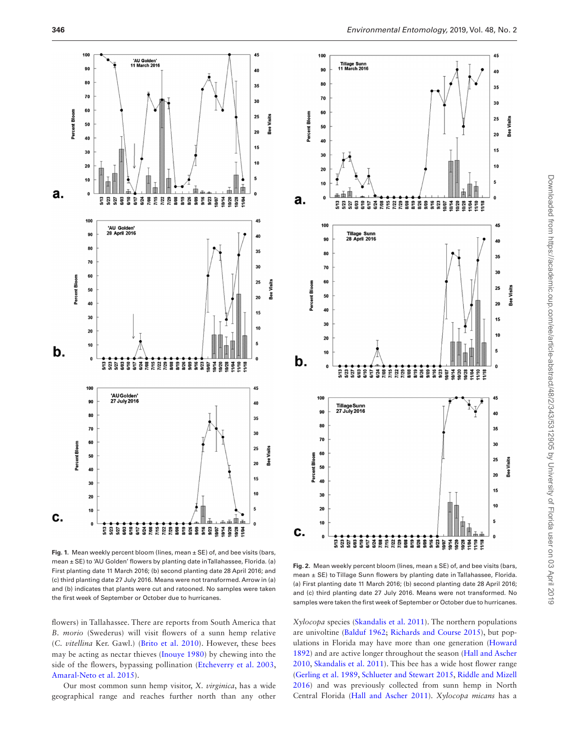

<span id="page-3-0"></span>**Fig. 1.** Mean weekly percent bloom (lines, mean ± SE) of, and bee visits (bars, mean ± SE) to 'AU Golden' flowers by planting date in Tallahassee, Florida. (a) First planting date 11 March 2016; (b) second planting date 28 April 2016; and (c) third planting date 27 July 2016. Means were not transformed. Arrow in (a) and (b) indicates that plants were cut and ratooned. No samples were taken the first week of September or October due to hurricanes.

flowers) in Tallahassee. There are reports from South America that *B. morio* (Swederus) will visit flowers of a sunn hemp relative (*C. vitellina* Ker. Gawl.) [\(Brito et al. 2010\)](#page-6-27). However, these bees may be acting as nectar thieves ([Inouye 1980](#page-6-29)) by chewing into the side of the flowers, bypassing pollination ([Etcheverry et al. 2003](#page-6-30), [Amaral-Neto et al. 2015\)](#page-5-4).

Our most common sunn hemp visitor, *X. virginica*, has a wide geographical range and reaches further north than any other



<span id="page-3-1"></span>**Fig. 2.** Mean weekly percent bloom (lines, mean ± SE) of, and bee visits (bars, mean ± SE) to Tillage Sunn flowers by planting date in Tallahassee, Florida. (a) First planting date 11 March 2016; (b) second planting date 28 April 2016; and (c) third planting date 27 July 2016. Means were not transformed. No samples were taken the first week of September or October due to hurricanes.

*Xylocopa* species ([Skandalis et al. 2011\)](#page-7-7). The northern populations are univoltine ([Balduf 1962](#page-5-5); [Richards and Course 2015](#page-6-31)), but populations in Florida may have more than one generation [\(Howard](#page-6-32) [1892\)](#page-6-32) and are active longer throughout the season ([Hall and Ascher](#page-6-33) [2010,](#page-6-33) [Skandalis et al. 2011](#page-7-7)). This bee has a wide host flower range ([Gerling et al. 1989,](#page-6-24) [Schlueter and Stewart 2015,](#page-7-8) [Riddle and Mizell](#page-6-34) [2016\)](#page-6-34) and was previously collected from sunn hemp in North Central Florida [\(Hall and Ascher 2011\)](#page-6-35). *Xylocopa micans* has a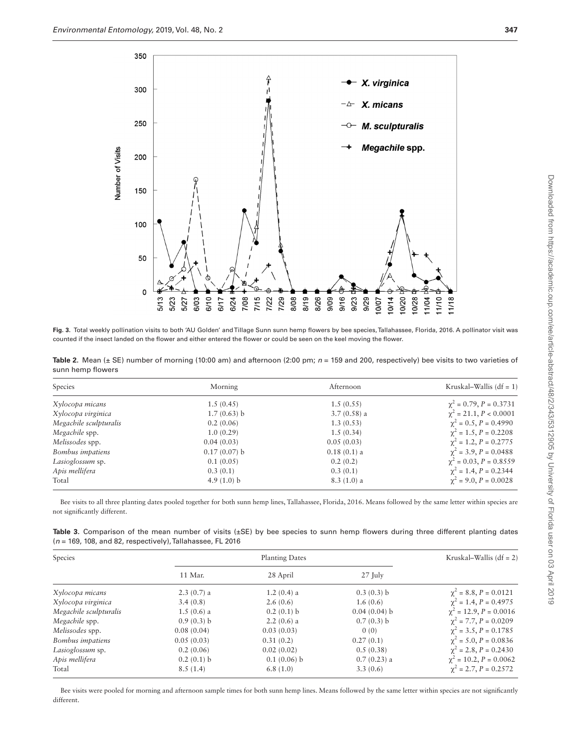

<span id="page-4-0"></span>**Fig. 3.** Total weekly pollination visits to both 'AU Golden' and Tillage Sunn sunn hemp flowers by bee species, Tallahassee, Florida, 2016. A pollinator visit was counted if the insect landed on the flower and either entered the flower or could be seen on the keel moving the flower.

<span id="page-4-1"></span>Table 2. Mean (± SE) number of morning (10:00 am) and afternoon (2:00 pm;  $n = 159$  and 200, respectively) bee visits to two varieties of sunn hemp flowers

| Species                | Morning        | Afternoon     | Kruskal–Wallis (df = $1$ )      |
|------------------------|----------------|---------------|---------------------------------|
| Xylocopa micans        | 1.5(0.45)      | 1.5(0.55)     | $\chi^2$ = 0.79, P = 0.3731     |
| Xylocopa virginica     | 1.7(0.63) b    | $3.7(0.58)$ a | $\gamma^2 = 21.1, P < 0.0001$   |
| Megachile sculpturalis | 0.2(0.06)      | 1.3(0.53)     | $\gamma^2 = 0.5$ , $P = 0.4990$ |
| Megachile spp.         | 1.0(0.29)      | 1.5(0.34)     | $\chi^2 = 1.5$ , $P = 0.2208$   |
| Melissodes spp.        | 0.04(0.03)     | 0.05(0.03)    | $\gamma^2 = 1.2$ , $P = 0.2775$ |
| Bombus impatiens       | $0.17(0.07)$ b | $0.18(0.1)$ a | $\gamma^2 = 3.9, P = 0.0488$    |
| Lasioglossum sp.       | 0.1(0.05)      | 0.2(0.2)      | $\chi^2$ = 0.03, P = 0.8559     |
| Apis mellifera         | 0.3(0.1)       | 0.3(0.1)      | $\chi^2$ = 1.4, P = 0.2344      |
| Total                  | 4.9 $(1.0)$ b  | $8.3(1.0)$ a  | $\gamma^2$ = 9.0, P = 0.0028    |

Bee visits to all three planting dates pooled together for both sunn hemp lines, Tallahassee, Florida, 2016. Means followed by the same letter within species are not significantly different.

<span id="page-4-2"></span>

| Table 3. Comparison of the mean number of visits $(\pm SE)$ by bee species to sunn hemp flowers during three different planting dates |  |  |  |  |  |  |  |
|---------------------------------------------------------------------------------------------------------------------------------------|--|--|--|--|--|--|--|
| $(n = 169, 108,$ and 82, respectively), Tallahassee, FL 2016                                                                          |  |  |  |  |  |  |  |

| Species                |              | <b>Planting Dates</b> |                |                                  |  |  |  |
|------------------------|--------------|-----------------------|----------------|----------------------------------|--|--|--|
|                        | 11 Mar.      | 28 April              | $27$ July      |                                  |  |  |  |
| Xylocopa micans        | $2.3(0.7)$ a | $1.2(0.4)$ a          | 0.3(0.3) b     | $\chi^2 = 8.8, P = 0.0121$       |  |  |  |
| Xylocopa virginica     | 3.4(0.8)     | 2.6(0.6)              | 1.6(0.6)       | $\chi^2$ = 1.4, P = 0.4975       |  |  |  |
| Megachile sculpturalis | $1.5(0.6)$ a | 0.2(0.1) b            | $0.04(0.04)$ b | $\chi^2$ = 12.9, P = 0.0016      |  |  |  |
| Megachile spp.         | 0.9(0.3) b   | $2.2(0.6)$ a          | 0.7(0.3) b     | $\chi^2$ = 7.7, P = 0.0209       |  |  |  |
| Melissodes spp.        | 0.08(0.04)   | 0.03(0.03)            | 0(0)           | $\chi^2$ = 3.5, P = 0.1785       |  |  |  |
| Bombus impatiens       | 0.05(0.03)   | 0.31(0.2)             | 0.27(0.1)      | $\chi^2$ = 5.0, P = 0.0836       |  |  |  |
| Lasioglossum sp.       | 0.2(0.06)    | 0.02(0.02)            | 0.5(0.38)      | $\chi^2$ = 2.8, P = 0.2430       |  |  |  |
| Apis mellifera         | 0.2(0.1) b   | $0.1(0.06)$ b         | $0.7(0.23)$ a  | $\gamma^2 = 10.2$ , $P = 0.0062$ |  |  |  |
| Total                  | 8.5(1.4)     | 6.8(1.0)              | 3.3(0.6)       | $\chi^2$ = 2.7, P = 0.2572       |  |  |  |

Bee visits were pooled for morning and afternoon sample times for both sunn hemp lines. Means followed by the same letter within species are not significantly different.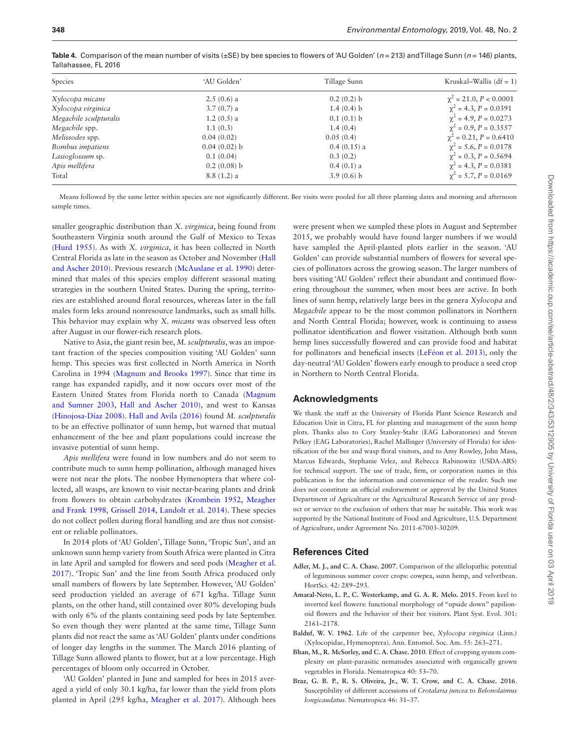| Species                | 'AU Golden'    | Tillage Sunn  | Kruskal–Wallis $(df = 1)$        |  |  |
|------------------------|----------------|---------------|----------------------------------|--|--|
| Xylocopa micans        | $2.5(0.6)$ a   | $0.2(0.2)$ b  | $\chi^2$ = 21.0, P < 0.0001      |  |  |
| Xylocopa virginica     | $3.7(0.7)$ a   | 1.4(0.4) b    | $\chi^2$ = 4.3, P = 0.0391       |  |  |
| Megachile sculpturalis | $1.2(0.5)$ a   | 0.1(0.1) b    | $\gamma^2 = 4.9, P = 0.0273$     |  |  |
| Megachile spp.         | 1.1(0.3)       | 1.4(0.4)      | $\gamma^2 = 0.9$ , $P = 0.3557$  |  |  |
| Melissodes spp.        | 0.04(0.02)     | 0.05(0.4)     | $\gamma^2 = 0.21$ , $P = 0.6410$ |  |  |
| Bombus impatiens       | $0.04(0.02)$ b | $0.4(0.15)$ a | $\chi^2$ = 5.6, P = 0.0178       |  |  |
| Lasioglossum sp.       | 0.1(0.04)      | 0.3(0.2)      | $\chi^2 = 0.3$ , $P = 0.5694$    |  |  |
| Apis mellifera         | $0.2(0.08)$ b  | $0.4(0.1)$ a  | $\gamma^2 = 4.3, P = 0.0381$     |  |  |
| Total                  | $8.8(1.2)$ a   | $3.9(0.6)$ b  | $\gamma^2$ = 5.7, P = 0.0169     |  |  |

<span id="page-5-3"></span>**Table 4.** Comparison of the mean number of visits (±SE) by bee species to flowers of 'AU Golden' (*n* = 213) and Tillage Sunn (*n* = 146) plants, Tallahassee, FL 2016

Means followed by the same letter within species are not significantly different. Bee visits were pooled for all three planting dates and morning and afternoon sample times.

smaller geographic distribution than *X. virginica*, being found from Southeastern Virginia south around the Gulf of Mexico to Texas ([Hurd 1955\)](#page-6-36). As with *X. virginica*, it has been collected in North Central Florida as late in the season as October and November [\(Hall](#page-6-33) [and Ascher 2010](#page-6-33)). Previous research [\(McAuslane et al. 1990\)](#page-6-37) determined that males of this species employ different seasonal mating strategies in the southern United States. During the spring, territories are established around floral resources, whereas later in the fall males form leks around nonresource landmarks, such as small hills. This behavior may explain why *X. micans* was observed less often after August in our flower-rich research plots.

Native to Asia, the giant resin bee, *M. sculpturalis*, was an important fraction of the species composition visiting 'AU Golden' sunn hemp. This species was first collected in North America in North Carolina in 1994 ([Magnum and Brooks 1997\)](#page-6-38). Since that time its range has expanded rapidly, and it now occurs over most of the Eastern United States from Florida north to Canada ([Magnum](#page-6-39) [and Sumner 2003](#page-6-39), [Hall and Ascher 2010](#page-6-33)), and west to Kansas ([Hinojosa-Díaz 2008\)](#page-6-40). [Hall and Avila \(2016\)](#page-6-41) found *M. sculpturalis* to be an effective pollinator of sunn hemp, but warned that mutual enhancement of the bee and plant populations could increase the invasive potential of sunn hemp.

*Apis mellifera* were found in low numbers and do not seem to contribute much to sunn hemp pollination, although managed hives were not near the plots. The nonbee Hymenoptera that where collected, all wasps, are known to visit nectar-bearing plants and drink from flowers to obtain carbohydrates ([Krombein 1952,](#page-6-42) [Meagher](#page-6-43) [and Frank 1998](#page-6-43), [Grissell 2014](#page-6-44), [Landolt et al. 2014\)](#page-6-45). These species do not collect pollen during floral handling and are thus not consistent or reliable pollinators.

In 2014 plots of 'AU Golden', Tillage Sunn, 'Tropic Sun', and an unknown sunn hemp variety from South Africa were planted in Citra in late April and sampled for flowers and seed pods [\(Meagher et al.](#page-6-17) [2017](#page-6-17)). 'Tropic Sun' and the line from South Africa produced only small numbers of flowers by late September. However, 'AU Golden' seed production yielded an average of 671 kg/ha. Tillage Sunn plants, on the other hand, still contained over 80% developing buds with only 6% of the plants containing seed pods by late September. So even though they were planted at the same time, Tillage Sunn plants did not react the same as 'AU Golden' plants under conditions of longer day lengths in the summer. The March 2016 planting of Tillage Sunn allowed plants to flower, but at a low percentage. High percentages of bloom only occurred in October.

'AU Golden' planted in June and sampled for bees in 2015 averaged a yield of only 30.1 kg/ha, far lower than the yield from plots planted in April (295 kg/ha, [Meagher et al. 2017](#page-6-17)). Although bees were present when we sampled these plots in August and September 2015, we probably would have found larger numbers if we would have sampled the April-planted plots earlier in the season. 'AU Golden' can provide substantial numbers of flowers for several species of pollinators across the growing season. The larger numbers of bees visiting 'AU Golden' reflect their abundant and continued flowering throughout the summer, when most bees are active. In both lines of sunn hemp, relatively large bees in the genera *Xylocopa* and *Megachile* appear to be the most common pollinators in Northern and North Central Florida; however, work is continuing to assess pollinator identification and flower visitation. Although both sunn hemp lines successfully flowered and can provide food and habitat for pollinators and beneficial insects [\(LeFéon et al. 2013](#page-6-46)), only the day-neutral 'AU Golden' flowers early enough to produce a seed crop in Northern to North Central Florida.

#### **Acknowledgments**

We thank the staff at the University of Florida Plant Science Research and Education Unit in Citra, FL for planting and management of the sunn hemp plots. Thanks also to Cory Stanley-Stahr (EAG Laboratories) and Steven Pelkey (EAG Laboratories), Rachel Mallinger (University of Florida) for identification of the bee and wasp floral visitors, and to Amy Rowley, John Mass, Marcus Edwards, Stephanie Velez, and Rebecca Rabinowitz (USDA-ARS) for technical support. The use of trade, firm, or corporation names in this publication is for the information and convenience of the reader. Such use does not constitute an official endorsement or approval by the United States Department of Agriculture or the Agricultural Research Service of any product or service to the exclusion of others that may be suitable. This work was supported by the National Institute of Food and Agriculture, U.S. Department of Agriculture, under Agreement No. 2011-67003-30209.

## **References Cited**

- <span id="page-5-0"></span>**Adler, M. J., and C. A. Chase. 2007**. Comparison of the allelopathic potential of leguminous summer cover crops: cowpea, sunn hemp, and velvetbean. HortSci. 42: 289–293.
- <span id="page-5-4"></span>**Amaral-Neto, L. P., C. Westerkamp, and G. A. R. Melo. 2015**. From keel to inverted keel flowers: functional morphology of "upside down" papilionoid flowers and the behavior of their bee visitors. Plant Syst. Evol. 301: 2161–2178.
- <span id="page-5-5"></span>**Balduf, W. V. 1962**. Life of the carpenter bee, *Xylocopa virginica* (Linn.) (Xylocopidae, Hymenoptera). Ann. Entomol. Soc. Am. 55: 263–271.
- <span id="page-5-1"></span>**Bhan, M., R. McSorley, and C. A. Chase. 2010**. Effect of cropping system complexity on plant-parasitic nematodes associated with organically grown vegetables in Florida. Nematropica 40: 53–70.
- <span id="page-5-2"></span>**Braz, G. B. P., R. S. Oliveira, Jr., W. T. Crow, and C. A. Chase. 2016**. Susceptibility of different accessions of *Crotalaria juncea* to *Belonolaimus longicaudatus*. Nematropica 46: 31–37.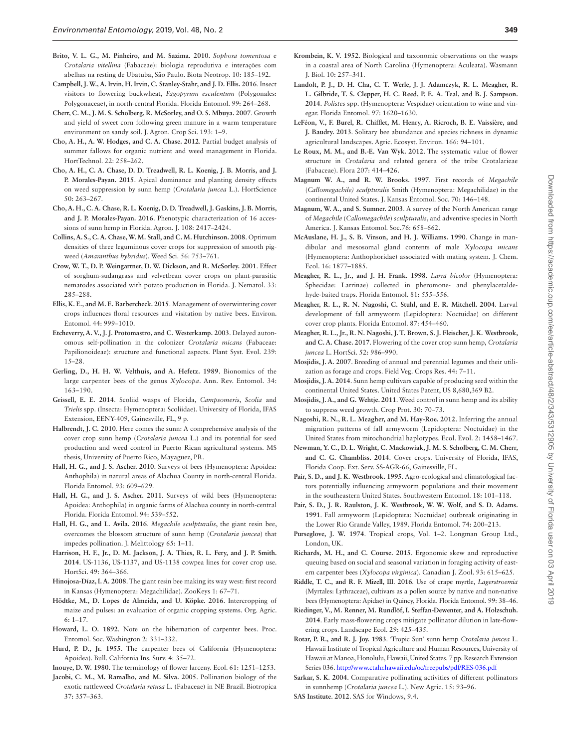- <span id="page-6-27"></span>**Brito, V. L. G., M. Pinheiro, and M. Sazima. 2010**. *Sophora tomentosa* e *Crotalaria vitellina* (Fabaceae): biologia reprodutiva e interações com abelhas na resting de Ubatuba, São Paulo. Biota Neotrop. 10: 185–192.
- <span id="page-6-18"></span>**Campbell, J. W., A. Irvin, H. Irvin, C. Stanley-Stahr, and J. D. Ellis. 2016**. Insect visitors to flowering buckwheat, *Fagopyrum esculentum* (Polygonales: Polygonaceae), in north-central Florida. Florida Entomol. 99: 264–268.
- <span id="page-6-1"></span>**Cherr, C. M., J. M. S. Scholberg, R. McSorley, and O. S. Mbuya. 2007**. Growth and yield of sweet corn following green manure in a warm temperature environment on sandy soil. J. Agron. Crop Sci. 193: 1–9.
- <span id="page-6-10"></span>**Cho, A. H., A. W. Hodges, and C. A. Chase. 2012**. Partial budget analysis of summer fallows for organic nutrient and weed management in Florida. HortTechnol. 22: 258–262.
- <span id="page-6-4"></span>**Cho, A. H., C. A. Chase, D. D. Treadwell, R. L. Koenig, J. B. Morris, and J. P. Morales-Payan. 2015**. Apical dominance and planting density effects on weed suppression by sunn hemp (*Crotalaria juncea* L.). HortScience 50: 263–267.
- <span id="page-6-16"></span>**Cho, A. H., C. A. Chase, R. L. Koenig, D. D. Treadwell, J. Gaskins, J. B. Morris, and J. P. Morales-Payan. 2016**. Phenotypic characterization of 16 accessions of sunn hemp in Florida. Agron. J. 108: 2417–2424.
- <span id="page-6-2"></span>**Collins, A. S., C. A. Chase, W. M. Stall, and C. M. Hutchinson. 2008**. Optimum densities of three leguminous cover crops for suppression of smooth pigweed (*Amaranthus hybridus*). Weed Sci. 56: 753–761.
- <span id="page-6-5"></span>**Crow, W. T., D. P. Weingartner, D. W. Dickson, and R. McSorley. 2001**. Effect of sorghum-sudangrass and velvetbean cover crops on plant-parasitic nematodes associated with potato production in Florida. J. Nematol. 33: 285–288.
- <span id="page-6-20"></span>**Ellis, K. E., and M. E. Barbercheck. 2015**. Management of overwintering cover crops influences floral resources and visitation by native bees. Environ. Entomol. 44: 999–1010.
- <span id="page-6-30"></span>**Etcheverry, A. V., J. J. Protomastro, and C. Westerkamp. 2003**. Delayed autonomous self-pollination in the colonizer *Crotalaria micans* (Fabaceae: Papilionoideae): structure and functional aspects. Plant Syst. Evol. 239: 15–28.
- <span id="page-6-24"></span>**Gerling, D., H. H. W. Velthuis, and A. Hefetz. 1989**. Bionomics of the large carpenter bees of the genus *Xylocopa*. Ann. Rev. Entomol. 34: 163–190.
- <span id="page-6-44"></span>**Grissell, E. E. 2014**. Scoliid wasps of Florida, *Campsomeris*, *Scolia* and *Trielis* spp. (Insecta: Hymenoptera: Scoliidae). University of Florida, IFAS Extension, EENY-409, Gainesville, FL, 9 p.
- <span id="page-6-28"></span>**Halbrendt, J. C. 2010**. Here comes the sunn: A comprehensive analysis of the cover crop sunn hemp (*Crotalaria juncea* L.) and its potential for seed production and weed control in Puerto Rican agricultural systems. MS thesis, University of Puerto Rico, Mayaguez, PR.
- <span id="page-6-33"></span>**Hall, H. G., and J. S. Ascher. 2010**. Surveys of bees (Hymenoptera: Apoidea: Anthophila) in natural areas of Alachua County in north-central Florida. Florida Entomol. 93: 609–629.
- <span id="page-6-35"></span>**Hall, H. G., and J. S. Ascher. 2011**. Surveys of wild bees (Hymenoptera: Apoidea: Anthophila) in organic farms of Alachua county in north-central Florida. Florida Entomol. 94: 539–552.
- <span id="page-6-41"></span>**Hall, H. G., and L. Avila. 2016**. *Megachile sculpturalis*, the giant resin bee, overcomes the blossom structure of sunn hemp (*Crotalaria juncea*) that impedes pollination. J. Melittology 65: 1–11.
- <span id="page-6-11"></span>**Harrison, H. F., Jr., D. M. Jackson, J. A. Thies, R. L. Fery, and J. P. Smith. 2014**. US-1136, US-1137, and US-1138 cowpea lines for cover crop use. HortSci. 49: 364–366.
- <span id="page-6-40"></span>**Hinojosa-Díaz, I. A. 2008**. The giant resin bee making its way west: first record in Kansas (Hymenoptera: Megachilidae). ZooKeys 1: 67–71.
- <span id="page-6-12"></span>**Hödtke, M., D. Lopes de Almeida, and U. Köpke. 2016**. Intercropping of maize and pulses: an evaluation of organic cropping systems. Org. Agric. 6: 1–17.
- <span id="page-6-32"></span>**Howard, L. O. 1892**. Note on the hibernation of carpenter bees. Proc. Entomol. Soc. Washington 2: 331–332.
- <span id="page-6-36"></span>**Hurd, P. D., Jr. 1955**. The carpenter bees of California (Hymenoptera: Apoidea). Bull. California Ins. Surv. 4: 35–72.
- <span id="page-6-29"></span>**Inouye, D. W. 1980**. The terminology of flower larceny. Ecol. 61: 1251–1253.
- <span id="page-6-26"></span>**Jacobi, C. M., M. Ramalho, and M. Silva. 2005**. Pollination biology of the exotic rattleweed *Crotalaria retusa* L. (Fabaceae) in NE Brazil. Biotropica 37: 357–363.
- <span id="page-6-42"></span>**Krombein, K. V. 1952**. Biological and taxonomic observations on the wasps in a coastal area of North Carolina (Hymenoptera: Aculeata). Wasmann J. Biol. 10: 257–341.
- <span id="page-6-45"></span>**Landolt, P. J., D. H. Cha, C. T. Werle, J. J. Adamczyk, R. L. Meagher, R. L. Gilbride, T. S. Clepper, H. C. Reed, P. E. A. Teal, and B. J. Sampson. 2014**. *Polistes* spp. (Hymenoptera: Vespidae) orientation to wine and vinegar. Florida Entomol. 97: 1620–1630.
- <span id="page-6-46"></span>**LeFéon, V., F. Burel, R. Chifflet, M. Henry, A. Ricroch, B. E. Vaissière, and J. Baudry. 2013**. Solitary bee abundance and species richness in dynamic agricultural landscapes. Agric. Ecosyst. Environ. 166: 94–101.
- <span id="page-6-22"></span>**Le Roux, M. M., and B.-E. Van Wyk. 2012**. The systematic value of flower structure in *Crotalaria* and related genera of the tribe Crotalarieae (Fabaceae). Flora 207: 414–426.
- <span id="page-6-38"></span>**Magnum W. A., and R. W. Brooks. 1997**. First records of *Megachile* (*Callomegachile) sculpturalis* Smith (Hymenoptera: Megachilidae) in the continental United States. J. Kansas Entomol. Soc. 70: 146–148.
- <span id="page-6-39"></span>**Magnum, W. A., and S. Sumner. 2003**. A survey of the North American range of *Megachile* (*Callomegachile*) *sculpturalis*, and adventive species in North America. J. Kansas Entomol. Soc.76: 658–662.
- <span id="page-6-37"></span>**McAuslane, H. J., S. B. Vinson, and H. J. Williams. 1990**. Change in mandibular and mesosomal gland contents of male *Xylocopa micans* (Hymenoptera: Anthophoridae) associated with mating system. J. Chem. Ecol. 16: 1877–1885.
- <span id="page-6-43"></span>**Meagher, R. L., Jr., and J. H. Frank. 1998**. *Larra bicolor* (Hymenoptera: Sphecidae: Larrinae) collected in pheromone- and phenylacetaldehyde-baited traps. Florida Entomol. 81: 555–556.
- <span id="page-6-7"></span>**Meagher, R. L., R. N. Nagoshi, C. Stuhl, and E. R. Mitchell. 2004**. Larval development of fall armyworm (Lepidoptera: Noctuidae) on different cover crop plants. Florida Entomol. 87: 454–460.
- <span id="page-6-17"></span>**Meagher, R. L., Jr., R. N. Nagoshi, J. T. Brown, S. J. Fleischer, J. K. Westbrook, and C. A. Chase. 2017**. Flowering of the cover crop sunn hemp, *Crotalaria juncea* L. HortSci. 52: 986–990.
- <span id="page-6-14"></span>**Mosjidis, J. A. 2007**. Breeding of annual and perennial legumes and their utilization as forage and crops. Field Veg. Crops Res. 44: 7–11.
- <span id="page-6-15"></span>**Mosjidis, J. A. 2014**. Sunn hemp cultivars capable of producing seed within the continental United States. United States Patent, US 8,680,369 B2.
- <span id="page-6-3"></span>**Mosjidis, J. A., and G. Wehtje. 2011**. Weed control in sunn hemp and its ability to suppress weed growth. Crop Prot. 30: 70–73.
- <span id="page-6-9"></span>**Nagoshi, R. N., R. L. Meagher, and M. Hay-Roe. 2012**. Inferring the annual migration patterns of fall armyworm (Lepidoptera: Noctuidae) in the United States from mitochondrial haplotypes. Ecol. Evol. 2: 1458–1467.
- <span id="page-6-0"></span>**Newman, Y. C., D. L. Wright, C. Mackowiak, J. M. S. Scholberg, C. M. Cherr, and C. G. Chambliss. 2014**. Cover crops. University of Florida, IFAS, Florida Coop. Ext. Serv. SS-AGR-66, Gainesville, FL.
- <span id="page-6-6"></span>**Pair, S. D., and J. K. Westbrook. 1995**. Agro-ecological and climatological factors potentially influencing armyworm populations and their movement in the southeastern United States. Southwestern Entomol. 18: 101–118.
- <span id="page-6-8"></span>**Pair, S. D., J. R. Raulston, J. K. Westbrook, W. W. Wolf, and S. D. Adams. 1991**. Fall armyworm (Lepidoptera: Noctuidae) outbreak originating in the Lower Rio Grande Valley, 1989. Florida Entomol. 74: 200–213.
- <span id="page-6-23"></span>**Purseglove, J. W. 1974**. Tropical crops, Vol. 1–2. Longman Group Ltd., London, UK.
- <span id="page-6-31"></span>**Richards, M. H., and C. Course. 2015**. Ergonomic skew and reproductive queuing based on social and seasonal variation in foraging activity of eastern carpenter bees (*Xylocopa virginica*). Canadian J. Zool. 93: 615–625.
- <span id="page-6-34"></span>**Riddle, T. C., and R. F. Mizell, III**. **2016**. Use of crape myrtle, *Lagerstroemia* (Myrtales: Lythraceae), cultivars as a pollen source by native and non-native bees (Hymenoptera: Apidae) in Quincy, Florida. Florida Entomol. 99: 38–46.
- <span id="page-6-19"></span>**Riedinger, V., M. Renner, M. Rundlöf, I. Steffan-Dewenter, and A. Holzschuh. 2014**. Early mass-flowering crops mitigate pollinator dilution in late-flowering crops. Landscape Ecol. 29: 425–435.
- <span id="page-6-13"></span>**Rotar, P. R., and R. J. Joy. 1983**. 'Tropic Sun' sunn hemp *Crotalaria juncea* L. Hawaii Institute of Tropical Agriculture and Human Resources, University of Hawaii at Manoa, Honolulu, Hawaii, United States. 7 pp. Research Extension Series 036. <http://www.ctahr.hawaii.edu/oc/freepubs/pdf/RES-036.pdf>
- <span id="page-6-21"></span>**Sarkar, S. K. 2004**. Comparative pollinating activities of different pollinators in sunnhemp (*Crotalaria juncea* L.). New Agric. 15: 93–96.
- <span id="page-6-25"></span>**SAS Institute**. **2012**. SAS for Windows, 9.4.